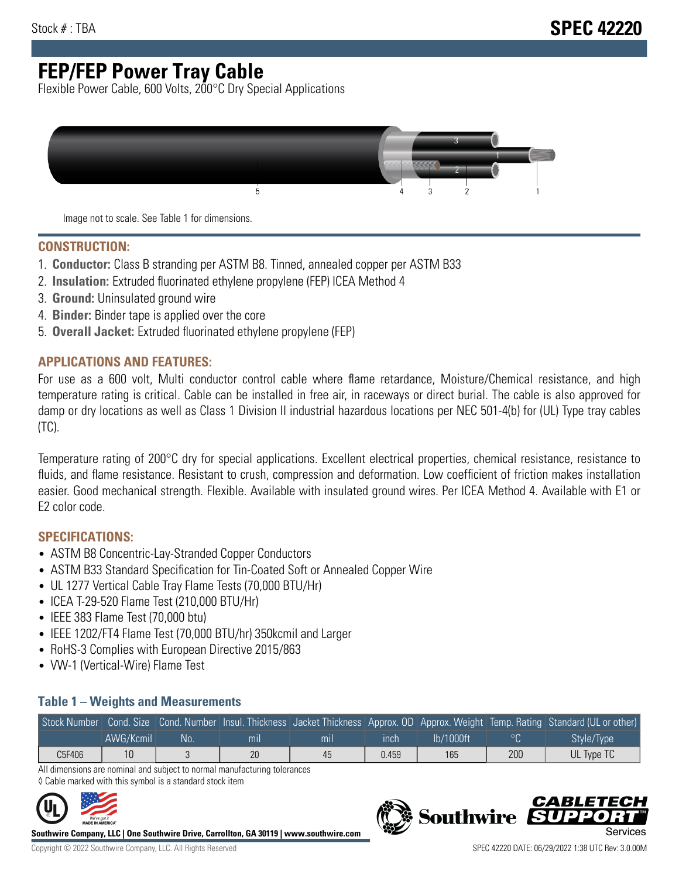# **FEP/FEP Power Tray Cable**

Flexible Power Cable, 600 Volts, 200°C Dry Special Applications



Image not to scale. See Table 1 for dimensions.

#### **CONSTRUCTION:**

- 1. **Conductor:** Class B stranding per ASTM B8. Tinned, annealed copper per ASTM B33
- 2. **Insulation:** Extruded fluorinated ethylene propylene (FEP) ICEA Method 4
- 3. **Ground:** Uninsulated ground wire
- 4. **Binder:** Binder tape is applied over the core
- 5. **Overall Jacket:** Extruded fluorinated ethylene propylene (FEP)

### **APPLICATIONS AND FEATURES:**

For use as a 600 volt, Multi conductor control cable where flame retardance, Moisture/Chemical resistance, and high temperature rating is critical. Cable can be installed in free air, in raceways or direct burial. The cable is also approved for damp or dry locations as well as Class 1 Division II industrial hazardous locations per NEC 501-4(b) for (UL) Type tray cables (TC).

Temperature rating of 200°C dry for special applications. Excellent electrical properties, chemical resistance, resistance to fluids, and flame resistance. Resistant to crush, compression and deformation. Low coefficient of friction makes installation easier. Good mechanical strength. Flexible. Available with insulated ground wires. Per ICEA Method 4. Available with E1 or E2 color code.

### **SPECIFICATIONS:**

- ASTM B8 Concentric-Lay-Stranded Copper Conductors
- ASTM B33 Standard Specification for Tin-Coated Soft or Annealed Copper Wire
- UL 1277 Vertical Cable Tray Flame Tests (70,000 BTU/Hr)
- ICEA T-29-520 Flame Test (210,000 BTU/Hr)
- IEEE 383 Flame Test (70,000 btu)
- IEEE 1202/FT4 Flame Test (70,000 BTU/hr) 350kcmil and Larger
- RoHS-3 Complies with European Directive 2015/863
- VW-1 (Vertical-Wire) Flame Test

#### **Table 1 – Weights and Measurements**

|        |           |     |     |     |       |           |     | Stock Number Cond. Size Cond. Number Insul. Thickness Jacket Thickness Approx. OD Approx. Weight Temp. Rating Standard (UL or other) |
|--------|-----------|-----|-----|-----|-------|-----------|-----|--------------------------------------------------------------------------------------------------------------------------------------|
|        | AWG/Kcmil | No. | mıl | mil | ınch  | lb/1000ft |     | Style/Type                                                                                                                           |
| C5F406 |           |     | 20  | 45  | 0.459 | 165       | 200 | UL Type TC                                                                                                                           |

All dimensions are nominal and subject to normal manufacturing tolerances ◊ Cable marked with this symbol is a standard stock item



**Southwire Company, LLC | One Southwire Drive, Carrollton, GA 30119 | www.southwire.com**